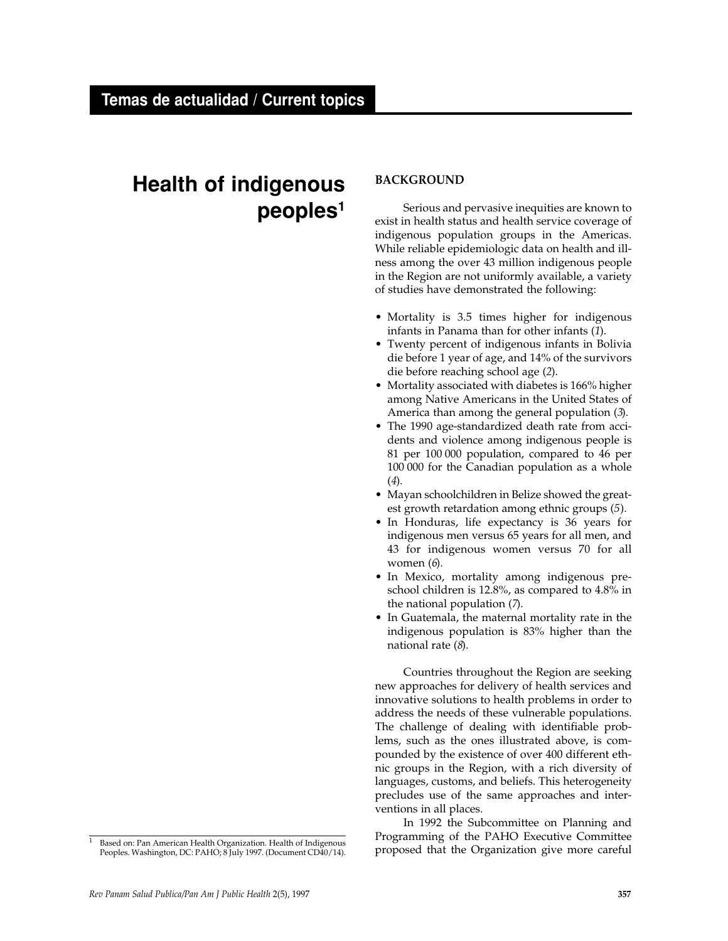# **Health of indigenous peoples1**

**BACKGROUND**

Serious and pervasive inequities are known to exist in health status and health service coverage of indigenous population groups in the Americas. While reliable epidemiologic data on health and illness among the over 43 million indigenous people in the Region are not uniformly available, a variety of studies have demonstrated the following:

- Mortality is 3.5 times higher for indigenous infants in Panama than for other infants (*1*).
- Twenty percent of indigenous infants in Bolivia die before 1 year of age, and 14% of the survivors die before reaching school age (*2*).
- Mortality associated with diabetes is 166% higher among Native Americans in the United States of America than among the general population (*3*).
- The 1990 age-standardized death rate from accidents and violence among indigenous people is 81 per 100 000 population, compared to 46 per 100 000 for the Canadian population as a whole (*4*).
- Mayan schoolchildren in Belize showed the greatest growth retardation among ethnic groups (*5*).
- In Honduras, life expectancy is 36 years for indigenous men versus 65 years for all men, and 43 for indigenous women versus 70 for all women (*6*).
- In Mexico, mortality among indigenous preschool children is 12.8%, as compared to 4.8% in the national population (*7*).
- In Guatemala, the maternal mortality rate in the indigenous population is 83% higher than the national rate (*8*).

Countries throughout the Region are seeking new approaches for delivery of health services and innovative solutions to health problems in order to address the needs of these vulnerable populations. The challenge of dealing with identifiable problems, such as the ones illustrated above, is compounded by the existence of over 400 different ethnic groups in the Region, with a rich diversity of languages, customs, and beliefs. This heterogeneity precludes use of the same approaches and interventions in all places.

In 1992 the Subcommittee on Planning and Programming of the PAHO Executive Committee Based on: Pan American Health Organization. Health of Indigenous<br>
Peoples. Washington. DC: PAHO: 8 July 1997. (Document CD40/14). Proposed that the Organization give more careful

Peoples. Washington, DC: PAHO; 8 July 1997. (Document CD40/14).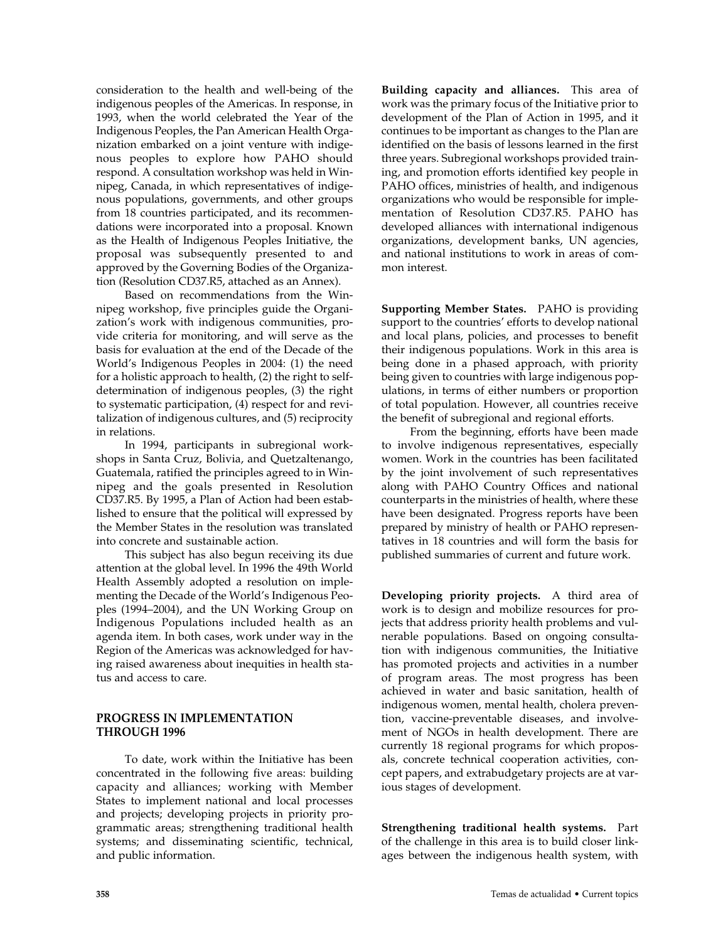consideration to the health and well-being of the indigenous peoples of the Americas. In response, in 1993, when the world celebrated the Year of the Indigenous Peoples, the Pan American Health Organization embarked on a joint venture with indigenous peoples to explore how PAHO should respond. A consultation workshop was held in Winnipeg, Canada, in which representatives of indigenous populations, governments, and other groups from 18 countries participated, and its recommendations were incorporated into a proposal. Known as the Health of Indigenous Peoples Initiative, the proposal was subsequently presented to and approved by the Governing Bodies of the Organization (Resolution CD37.R5, attached as an Annex).

Based on recommendations from the Winnipeg workshop, five principles guide the Organization's work with indigenous communities, provide criteria for monitoring, and will serve as the basis for evaluation at the end of the Decade of the World's Indigenous Peoples in 2004: (1) the need for a holistic approach to health, (2) the right to selfdetermination of indigenous peoples, (3) the right to systematic participation, (4) respect for and revitalization of indigenous cultures, and (5) reciprocity in relations.

In 1994, participants in subregional workshops in Santa Cruz, Bolivia, and Quetzaltenango, Guatemala, ratified the principles agreed to in Winnipeg and the goals presented in Resolution CD37.R5. By 1995, a Plan of Action had been established to ensure that the political will expressed by the Member States in the resolution was translated into concrete and sustainable action.

This subject has also begun receiving its due attention at the global level. In 1996 the 49th World Health Assembly adopted a resolution on implementing the Decade of the World's Indigenous Peoples (1994–2004), and the UN Working Group on Indigenous Populations included health as an agenda item. In both cases, work under way in the Region of the Americas was acknowledged for having raised awareness about inequities in health status and access to care.

# **PROGRESS IN IMPLEMENTATION THROUGH 1996**

To date, work within the Initiative has been concentrated in the following five areas: building capacity and alliances; working with Member States to implement national and local processes and projects; developing projects in priority programmatic areas; strengthening traditional health systems; and disseminating scientific, technical, and public information.

**Building capacity and alliances.** This area of work was the primary focus of the Initiative prior to development of the Plan of Action in 1995, and it continues to be important as changes to the Plan are identified on the basis of lessons learned in the first three years. Subregional workshops provided training, and promotion efforts identified key people in PAHO offices, ministries of health, and indigenous organizations who would be responsible for implementation of Resolution CD37.R5. PAHO has developed alliances with international indigenous organizations, development banks, UN agencies, and national institutions to work in areas of common interest.

**Supporting Member States.** PAHO is providing support to the countries' efforts to develop national and local plans, policies, and processes to benefit their indigenous populations. Work in this area is being done in a phased approach, with priority being given to countries with large indigenous populations, in terms of either numbers or proportion of total population. However, all countries receive the benefit of subregional and regional efforts.

From the beginning, efforts have been made to involve indigenous representatives, especially women. Work in the countries has been facilitated by the joint involvement of such representatives along with PAHO Country Offices and national counterparts in the ministries of health, where these have been designated. Progress reports have been prepared by ministry of health or PAHO representatives in 18 countries and will form the basis for published summaries of current and future work.

**Developing priority projects.** A third area of work is to design and mobilize resources for projects that address priority health problems and vulnerable populations. Based on ongoing consultation with indigenous communities, the Initiative has promoted projects and activities in a number of program areas. The most progress has been achieved in water and basic sanitation, health of indigenous women, mental health, cholera prevention, vaccine-preventable diseases, and involvement of NGOs in health development. There are currently 18 regional programs for which proposals, concrete technical cooperation activities, concept papers, and extrabudgetary projects are at various stages of development.

**Strengthening traditional health systems.** Part of the challenge in this area is to build closer linkages between the indigenous health system, with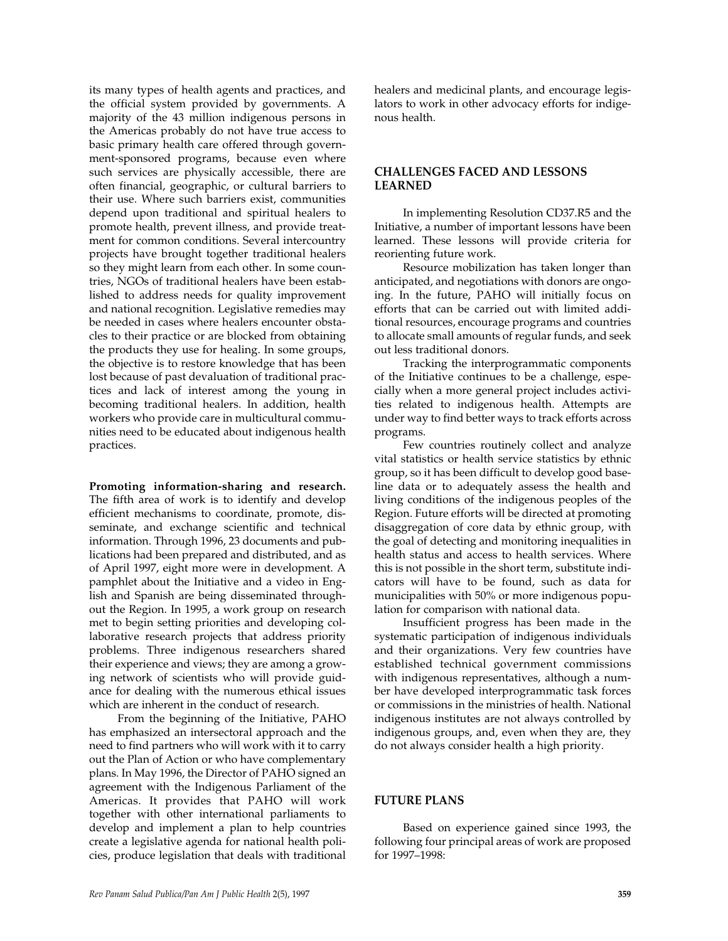its many types of health agents and practices, and the official system provided by governments. A majority of the 43 million indigenous persons in the Americas probably do not have true access to basic primary health care offered through government-sponsored programs, because even where such services are physically accessible, there are often financial, geographic, or cultural barriers to their use. Where such barriers exist, communities depend upon traditional and spiritual healers to promote health, prevent illness, and provide treatment for common conditions. Several intercountry projects have brought together traditional healers so they might learn from each other. In some countries, NGOs of traditional healers have been established to address needs for quality improvement and national recognition. Legislative remedies may be needed in cases where healers encounter obstacles to their practice or are blocked from obtaining the products they use for healing. In some groups, the objective is to restore knowledge that has been lost because of past devaluation of traditional practices and lack of interest among the young in becoming traditional healers. In addition, health workers who provide care in multicultural communities need to be educated about indigenous health practices.

**Promoting information-sharing and research.** The fifth area of work is to identify and develop efficient mechanisms to coordinate, promote, disseminate, and exchange scientific and technical information. Through 1996, 23 documents and publications had been prepared and distributed, and as of April 1997, eight more were in development. A pamphlet about the Initiative and a video in English and Spanish are being disseminated throughout the Region. In 1995, a work group on research met to begin setting priorities and developing collaborative research projects that address priority problems. Three indigenous researchers shared their experience and views; they are among a growing network of scientists who will provide guidance for dealing with the numerous ethical issues which are inherent in the conduct of research.

From the beginning of the Initiative, PAHO has emphasized an intersectoral approach and the need to find partners who will work with it to carry out the Plan of Action or who have complementary plans. In May 1996, the Director of PAHO signed an agreement with the Indigenous Parliament of the Americas. It provides that PAHO will work together with other international parliaments to develop and implement a plan to help countries create a legislative agenda for national health policies, produce legislation that deals with traditional healers and medicinal plants, and encourage legislators to work in other advocacy efforts for indigenous health.

# **CHALLENGES FACED AND LESSONS LEARNED**

In implementing Resolution CD37.R5 and the Initiative, a number of important lessons have been learned. These lessons will provide criteria for reorienting future work.

Resource mobilization has taken longer than anticipated, and negotiations with donors are ongoing. In the future, PAHO will initially focus on efforts that can be carried out with limited additional resources, encourage programs and countries to allocate small amounts of regular funds, and seek out less traditional donors.

Tracking the interprogrammatic components of the Initiative continues to be a challenge, especially when a more general project includes activities related to indigenous health. Attempts are under way to find better ways to track efforts across programs.

Few countries routinely collect and analyze vital statistics or health service statistics by ethnic group, so it has been difficult to develop good baseline data or to adequately assess the health and living conditions of the indigenous peoples of the Region. Future efforts will be directed at promoting disaggregation of core data by ethnic group, with the goal of detecting and monitoring inequalities in health status and access to health services. Where this is not possible in the short term, substitute indicators will have to be found, such as data for municipalities with 50% or more indigenous population for comparison with national data.

Insufficient progress has been made in the systematic participation of indigenous individuals and their organizations. Very few countries have established technical government commissions with indigenous representatives, although a number have developed interprogrammatic task forces or commissions in the ministries of health. National indigenous institutes are not always controlled by indigenous groups, and, even when they are, they do not always consider health a high priority.

# **FUTURE PLANS**

Based on experience gained since 1993, the following four principal areas of work are proposed for 1997–1998: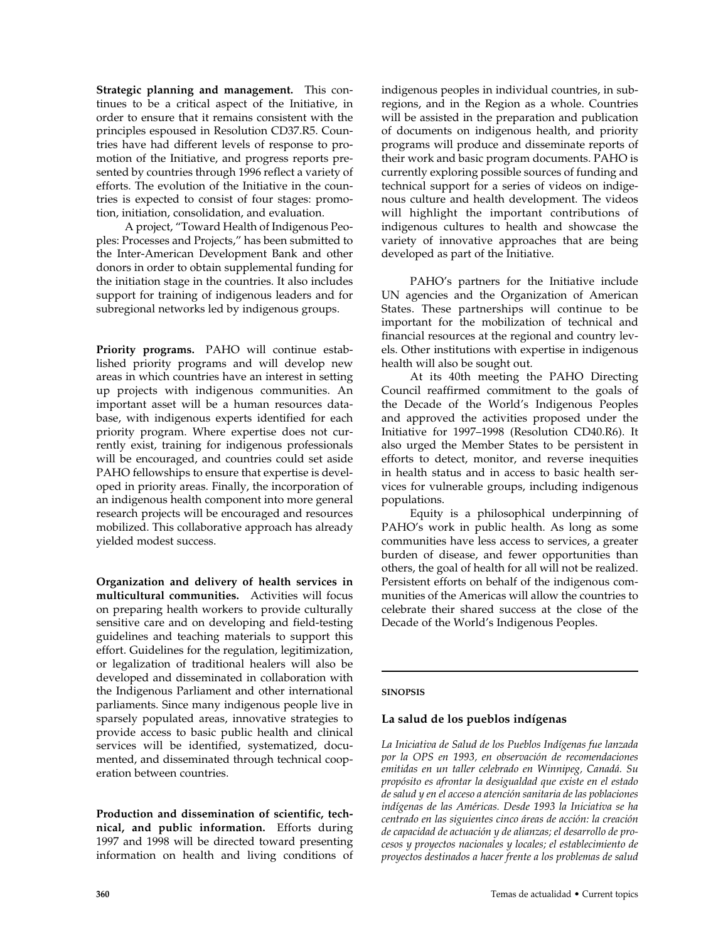**Strategic planning and management.** This continues to be a critical aspect of the Initiative, in order to ensure that it remains consistent with the principles espoused in Resolution CD37.R5. Countries have had different levels of response to promotion of the Initiative, and progress reports presented by countries through 1996 reflect a variety of efforts. The evolution of the Initiative in the countries is expected to consist of four stages: promotion, initiation, consolidation, and evaluation.

A project, "Toward Health of Indigenous Peoples: Processes and Projects," has been submitted to the Inter-American Development Bank and other donors in order to obtain supplemental funding for the initiation stage in the countries. It also includes support for training of indigenous leaders and for subregional networks led by indigenous groups.

**Priority programs.** PAHO will continue established priority programs and will develop new areas in which countries have an interest in setting up projects with indigenous communities. An important asset will be a human resources database, with indigenous experts identified for each priority program. Where expertise does not currently exist, training for indigenous professionals will be encouraged, and countries could set aside PAHO fellowships to ensure that expertise is developed in priority areas. Finally, the incorporation of an indigenous health component into more general research projects will be encouraged and resources mobilized. This collaborative approach has already yielded modest success.

**Organization and delivery of health services in multicultural communities.** Activities will focus on preparing health workers to provide culturally sensitive care and on developing and field-testing guidelines and teaching materials to support this effort. Guidelines for the regulation, legitimization, or legalization of traditional healers will also be developed and disseminated in collaboration with the Indigenous Parliament and other international parliaments. Since many indigenous people live in sparsely populated areas, innovative strategies to provide access to basic public health and clinical services will be identified, systematized, documented, and disseminated through technical cooperation between countries.

**Production and dissemination of scientific, technical, and public information.** Efforts during 1997 and 1998 will be directed toward presenting information on health and living conditions of

indigenous peoples in individual countries, in subregions, and in the Region as a whole. Countries will be assisted in the preparation and publication of documents on indigenous health, and priority programs will produce and disseminate reports of their work and basic program documents. PAHO is currently exploring possible sources of funding and technical support for a series of videos on indigenous culture and health development. The videos will highlight the important contributions of indigenous cultures to health and showcase the variety of innovative approaches that are being developed as part of the Initiative.

PAHO's partners for the Initiative include UN agencies and the Organization of American States. These partnerships will continue to be important for the mobilization of technical and financial resources at the regional and country levels. Other institutions with expertise in indigenous health will also be sought out.

At its 40th meeting the PAHO Directing Council reaffirmed commitment to the goals of the Decade of the World's Indigenous Peoples and approved the activities proposed under the Initiative for 1997–1998 (Resolution CD40.R6). It also urged the Member States to be persistent in efforts to detect, monitor, and reverse inequities in health status and in access to basic health services for vulnerable groups, including indigenous populations.

Equity is a philosophical underpinning of PAHO's work in public health. As long as some communities have less access to services, a greater burden of disease, and fewer opportunities than others, the goal of health for all will not be realized. Persistent efforts on behalf of the indigenous communities of the Americas will allow the countries to celebrate their shared success at the close of the Decade of the World's Indigenous Peoples.

#### **SINOPSIS**

# **La salud de los pueblos indígenas**

*La Iniciativa de Salud de los Pueblos Indígenas fue lanzada por la OPS en 1993, en observación de recomendaciones emitidas en un taller celebrado en Winnipeg, Canadá. Su propósito es afrontar la desigualdad que existe en el estado de salud y en el acceso a atención sanitaria de las poblaciones indígenas de las Américas. Desde 1993 la Iniciativa se ha centrado en las siguientes cinco áreas de acción: la creación de capacidad de actuación y de alianzas; el desarrollo de procesos y proyectos nacionales y locales; el establecimiento de proyectos destinados a hacer frente a los problemas de salud*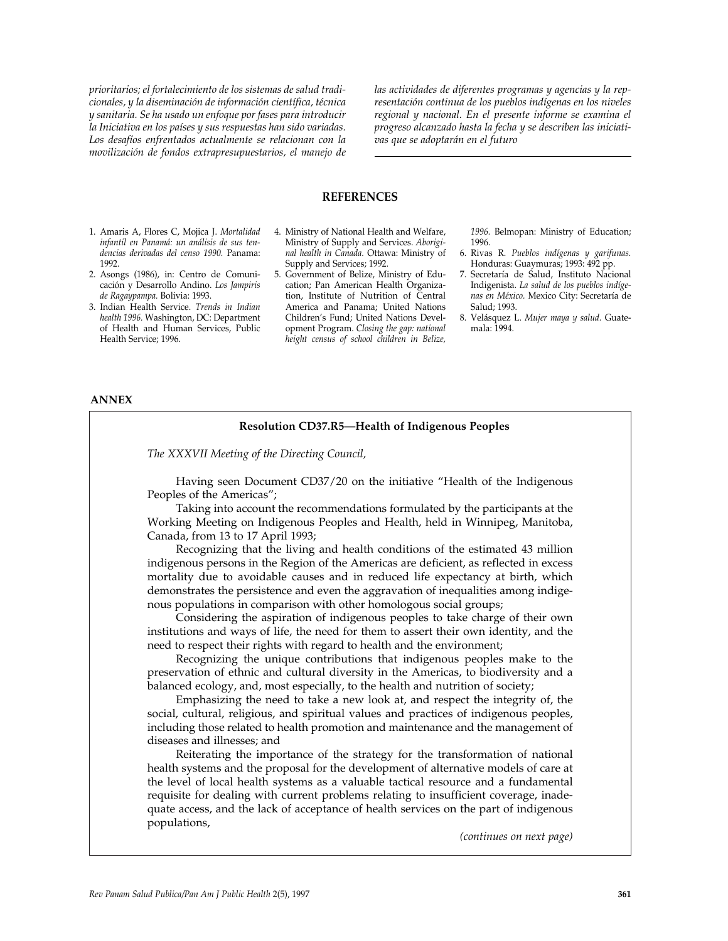*prioritarios; el fortalecimiento de los sistemas de salud tradicionales, y la diseminación de información científica, técnica y sanitaria. Se ha usado un enfoque por fases para introducir la Iniciativa en los países y sus respuestas han sido variadas. Los desafíos enfrentados actualmente se relacionan con la movilización de fondos extrapresupuestarios, el manejo de*

*las actividades de diferentes programas y agencias y la representación continua de los pueblos indígenas en los niveles regional y nacional. En el presente informe se examina el progreso alcanzado hasta la fecha y se describen las iniciativas que se adoptarán en el futuro*

### **REFERENCES**

- 1. Amaris A, Flores C, Mojica J. *Mortalidad infantil en Panamá: un análisis de sus tendencias derivadas del censo 1990.* Panama: 1992.
- 2. Asongs (1986), in: Centro de Comunicación y Desarrollo Andino. *Los Jampiris de Ragaypampa.* Bolivia: 1993.
- 3. Indian Health Service. *Trends in Indian health 1996.* Washington, DC: Department of Health and Human Services, Public Health Service; 1996.
- 4. Ministry of National Health and Welfare, Ministry of Supply and Services. *Aboriginal health in Canada.* Ottawa: Ministry of Supply and Services; 1992.
- 5. Government of Belize, Ministry of Education; Pan American Health Organization, Institute of Nutrition of Central America and Panama; United Nations Children's Fund; United Nations Development Program. *Closing the gap: national height census of school children in Belize,*

*1996.* Belmopan: Ministry of Education; 1996.

- 6. Rivas R. *Pueblos indígenas y garifunas.* Honduras: Guaymuras; 1993: 492 pp.
- 7. Secretaría de Salud, Instituto Nacional Indigenista. *La salud de los pueblos indígenas en México.* Mexico City: Secretaría de Salud; 1993.
- 8. Velásquez L. *Mujer maya y salud.* Guatemala: 1994.

## **ANNEX**

#### **Resolution CD37.R5—Health of Indigenous Peoples**

*The XXXVII Meeting of the Directing Council,*

Having seen Document CD37/20 on the initiative "Health of the Indigenous Peoples of the Americas";

Taking into account the recommendations formulated by the participants at the Working Meeting on Indigenous Peoples and Health, held in Winnipeg, Manitoba, Canada, from 13 to 17 April 1993;

Recognizing that the living and health conditions of the estimated 43 million indigenous persons in the Region of the Americas are deficient, as reflected in excess mortality due to avoidable causes and in reduced life expectancy at birth, which demonstrates the persistence and even the aggravation of inequalities among indigenous populations in comparison with other homologous social groups;

Considering the aspiration of indigenous peoples to take charge of their own institutions and ways of life, the need for them to assert their own identity, and the need to respect their rights with regard to health and the environment;

Recognizing the unique contributions that indigenous peoples make to the preservation of ethnic and cultural diversity in the Americas, to biodiversity and a balanced ecology, and, most especially, to the health and nutrition of society;

Emphasizing the need to take a new look at, and respect the integrity of, the social, cultural, religious, and spiritual values and practices of indigenous peoples, including those related to health promotion and maintenance and the management of diseases and illnesses; and

Reiterating the importance of the strategy for the transformation of national health systems and the proposal for the development of alternative models of care at the level of local health systems as a valuable tactical resource and a fundamental requisite for dealing with current problems relating to insufficient coverage, inadequate access, and the lack of acceptance of health services on the part of indigenous populations,

*(continues on next page)*